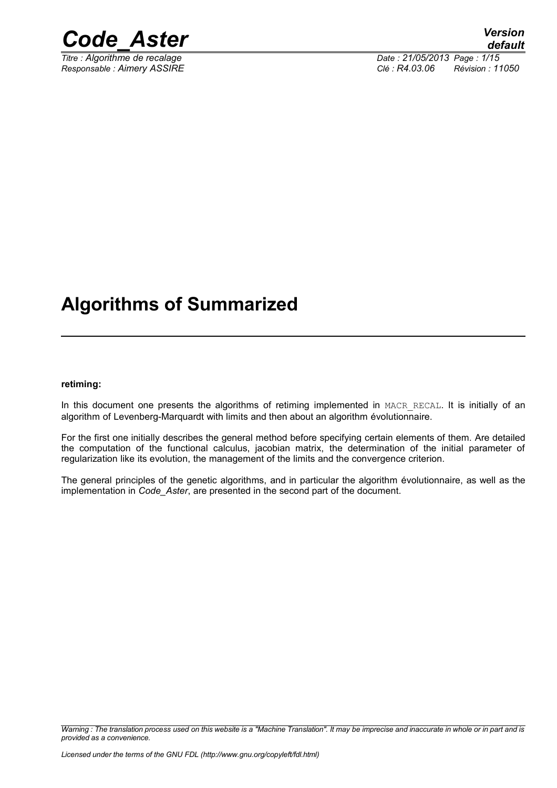

*Titre : Algorithme de recalage Date : 21/05/2013 Page : 1/15 Responsable : Aimery ASSIRE Clé : R4.03.06 Révision : 11050*

## **Algorithms of Summarized**

#### **retiming:**

In this document one presents the algorithms of retiming implemented in MACR\_RECAL. It is initially of an algorithm of Levenberg-Marquardt with limits and then about an algorithm évolutionnaire.

For the first one initially describes the general method before specifying certain elements of them. Are detailed the computation of the functional calculus, jacobian matrix, the determination of the initial parameter of regularization like its evolution, the management of the limits and the convergence criterion.

The general principles of the genetic algorithms, and in particular the algorithm évolutionnaire, as well as the implementation in *Code\_Aster*, are presented in the second part of the document.

*Warning : The translation process used on this website is a "Machine Translation". It may be imprecise and inaccurate in whole or in part and is provided as a convenience.*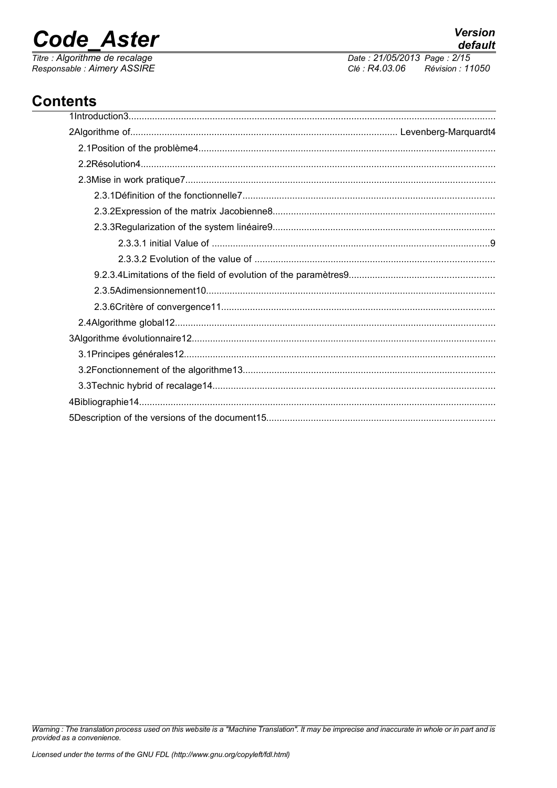## **Code Aster**

Titre : Algorithme de recalage Responsable : Aimery ASSIRE Date: 21/05/2013 Page: 2/15 Clé : R4.03.06 Révision : 11050

## **Contents**

Warning : The translation process used on this website is a "Machine Translation". It may be imprecise and inaccurate in whole or in part and is provided as a convenience.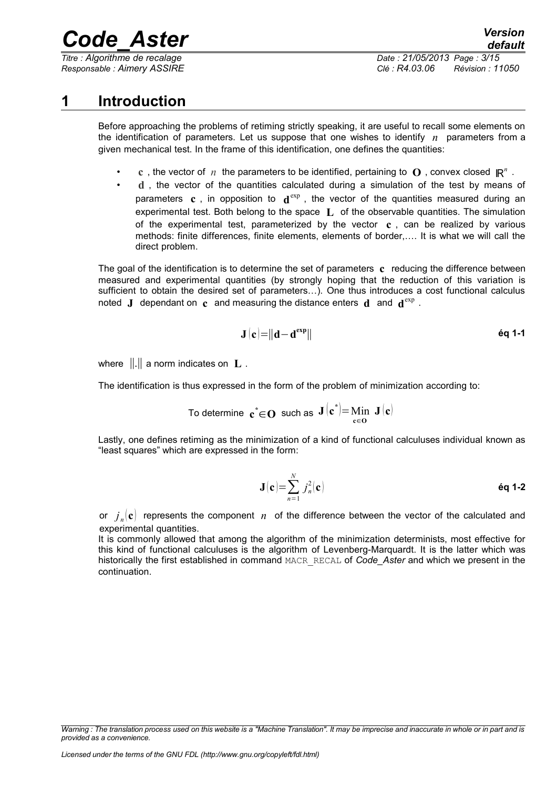*Titre : Algorithme de recalage Date : 21/05/2013 Page : 3/15*

*Responsable : Aimery ASSIRE Clé : R4.03.06 Révision : 11050*

## **1 Introduction**

Before approaching the problems of retiming strictly speaking, it are useful to recall some elements on the identification of parameters. Let us suppose that one wishes to identify *n* parameters from a given mechanical test. In the frame of this identification, one defines the quantities:

- **c**, the vector of *n* the parameters to be identified, pertaining to **O**, convex closed  $\mathbb{R}^n$ .
- **d** , the vector of the quantities calculated during a simulation of the test by means of parameters **c**, in opposition to  $\mathbf{d}^{\text{exp}}$ , the vector of the quantities measured during an experimental test. Both belong to the space **L** of the observable quantities. The simulation of the experimental test, parameterized by the vector **c** , can be realized by various methods: finite differences, finite elements, elements of border,…. It is what we will call the direct problem.

The goal of the identification is to determine the set of parameters **c** reducing the difference between measured and experimental quantities (by strongly hoping that the reduction of this variation is sufficient to obtain the desired set of parameters…). One thus introduces a cost functional calculus noted **J** dependant on  $\mathbf{c}$  and measuring the distance enters  $\mathbf{d}$  and  $\mathbf{d}^{\text{exp}}$ .

$$
\mathbf{J}\left(\mathbf{c}\right) = \left\|\mathbf{d} - \mathbf{d}^{\exp}\right\| \tag{6q 1-1}
$$

where ∥.∥ a norm indicates on **L** .

The identification is thus expressed in the form of the problem of minimization according to:

To determine 
$$
\mathbf{c}^* \in \mathbf{O}
$$
 such as  $\mathbf{J}(\mathbf{c}^*) = \lim_{\mathbf{c} \in \mathbf{O}} \mathbf{J}(\mathbf{c})$ 

Lastly, one defines retiming as the minimization of a kind of functional calculuses individual known as "least squares" which are expressed in the form:

$$
\mathbf{J}(\mathbf{c}) = \sum_{n=1}^{N} j_n^2(\mathbf{c})
$$
éq 1-2

or  $j_n(\mathbf{c})$  represents the component  $n$  of the difference between the vector of the calculated and experimental quantities.

It is commonly allowed that among the algorithm of the minimization determinists, most effective for this kind of functional calculuses is the algorithm of Levenberg-Marquardt. It is the latter which was historically the first established in command MACR\_RECAL of *Code\_Aster* and which we present in the continuation.

*Warning : The translation process used on this website is a "Machine Translation". It may be imprecise and inaccurate in whole or in part and is provided as a convenience.*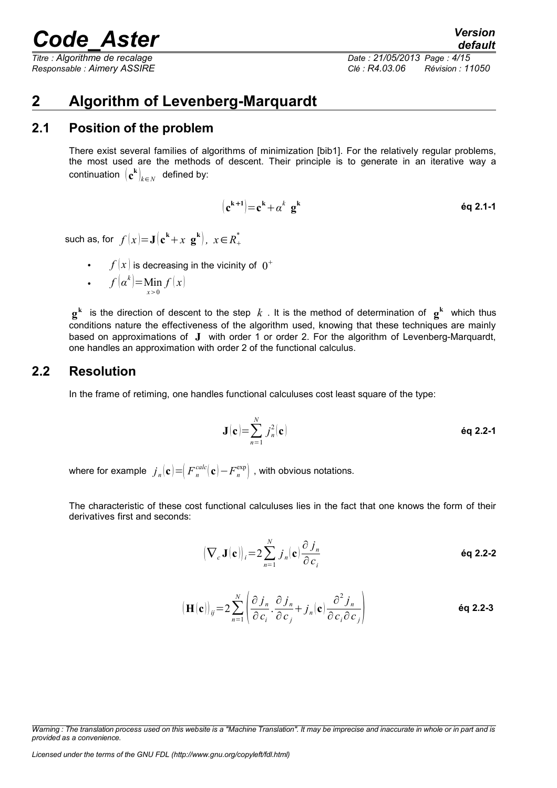*default Titre : Algorithme de recalage Date : 21/05/2013 Page : 4/15 Responsable : Aimery ASSIRE Clé : R4.03.06 Révision : 11050*

## **2 Algorithm of Levenberg-Marquardt**

### **2.1 Position of the problem**

There exist several families of algorithms of minimization [bib1]. For the relatively regular problems, the most used are the methods of descent. Their principle is to generate in an iterative way a  $\textsf{continuation } \left( \mathbf{c^k} \right)_{k \in N} \textsf{ defined by:}$ 

$$
(\mathbf{c}^{\mathbf{k}+\mathbf{1}}) = \mathbf{c}^{\mathbf{k}} + \alpha^k \mathbf{g}^{\mathbf{k}}
$$
éq 2.1-1

such as, for  $f(x)=\mathbf{J}(\mathbf{c^k}+x\mathbf{g^k}),\;x\!\in\! R_+^*$ 

•  $f(x)$  is decreasing in the vicinity of  $0^+$ 

• 
$$
f(\alpha^k) = \lim_{x>0} f(x)
$$

 $\mathbf{g}^{\mathbf{k}}$  is the direction of descent to the step  $k$  . It is the method of determination of  $\mathbf{g}^{\mathbf{k}}$  which thus conditions nature the effectiveness of the algorithm used, knowing that these techniques are mainly based on approximations of **J** with order 1 or order 2. For the algorithm of Levenberg-Marquardt, one handles an approximation with order 2 of the functional calculus.

### **2.2 Resolution**

In the frame of retiming, one handles functional calculuses cost least square of the type:

$$
\mathbf{J}(\mathbf{c}) = \sum_{n=1}^{N} j_n^2(\mathbf{c})
$$
éq 2.2-1

where for example  $\left|j_{_{n}}\!\!\left(\mathbf{c}\right)\right\rangle =\right|F_{_{n}}^{calc}(\mathbf{c})\!-\!F_{_{n}}^{\exp}\right|$  , with obvious notations.

The characteristic of these cost functional calculuses lies in the fact that one knows the form of their derivatives first and seconds:

$$
\left(\nabla_c \mathbf{J}(\mathbf{c})\right)_i = 2 \sum_{n=1}^N j_n(\mathbf{c}) \frac{\partial j_n}{\partial c_i}
$$

$$
\left(\mathbf{H}(\mathbf{c})\right)_{ij} = 2\sum_{n=1}^{N} \left( \frac{\partial j_n}{\partial c_i} \cdot \frac{\partial j_n}{\partial c_j} + j_n(\mathbf{c}) \frac{\partial^2 j_n}{\partial c_i \partial c_j} \right)
$$
\n
$$
\mathbf{eq 2.2-3}
$$

*Warning : The translation process used on this website is a "Machine Translation". It may be imprecise and inaccurate in whole or in part and is provided as a convenience.*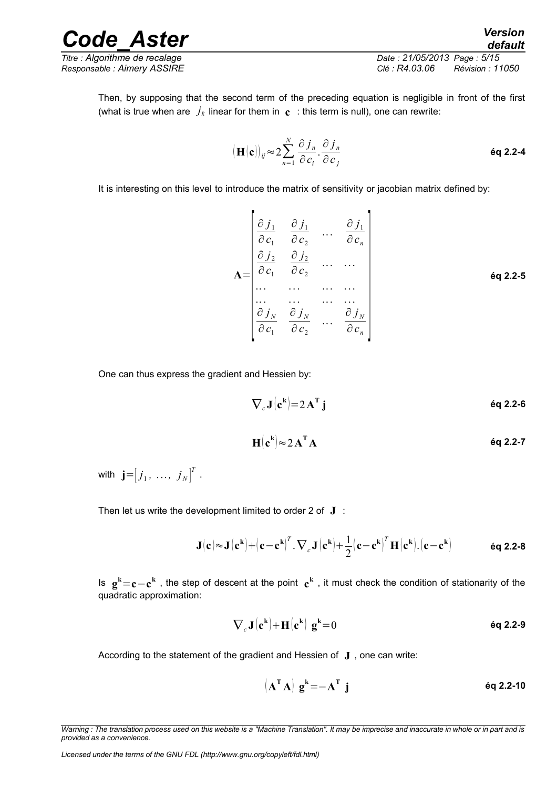*Titre : Algorithme de recalage Date : 21/05/2013 Page : 5/15 Responsable : Aimery ASSIRE Clé : R4.03.06 Révision : 11050*

Then, by supposing that the second term of the preceding equation is negligible in front of the first (what is true when are  $\,j_k$  linear for them in  $\, {\bf c} \,$  : this term is null), one can rewrite:

$$
\left(\mathbf{H}[\mathbf{c}]\right)_{ij} \approx 2 \sum_{n=1}^{N} \frac{\partial j_n}{\partial c_i} \cdot \frac{\partial j_n}{\partial c_j}
$$

It is interesting on this level to introduce the matrix of sensitivity or jacobian matrix defined by:

$$
\mathbf{A} = \begin{bmatrix} \frac{\partial j_1}{\partial c_1} & \frac{\partial j_1}{\partial c_2} & \dots & \frac{\partial j_1}{\partial c_n} \\ \frac{\partial j_2}{\partial c_1} & \frac{\partial j_2}{\partial c_2} & \dots & \dots \\ \dots & \dots & \dots & \dots \\ \frac{\partial j_N}{\partial c_1} & \frac{\partial j_N}{\partial c_2} & \dots & \frac{\partial j_N}{\partial c_n} \end{bmatrix} \in \mathbf{q} \mathbf{2.2-5}
$$

One can thus express the gradient and Hessien by:

$$
\nabla_c \mathbf{J}(\mathbf{c}^k) = 2 \mathbf{A}^{\mathrm{T}} \mathbf{j} \tag{6q 2.2-6}
$$

$$
H(ck) \approx 2 AT A
$$

with  $\mathbf{j} = \begin{bmatrix} j_1, \ldots, j_N \end{bmatrix}^T$  .

Then let us write the development limited to order 2 of **J** :

$$
\mathbf{J}(\mathbf{c}) \approx \mathbf{J}(\mathbf{c}^{\mathbf{k}}) + (\mathbf{c} - \mathbf{c}^{\mathbf{k}})^{T} \cdot \nabla_{c} \mathbf{J}(\mathbf{c}^{\mathbf{k}}) + \frac{1}{2} (\mathbf{c} - \mathbf{c}^{\mathbf{k}})^{T} \mathbf{H}(\mathbf{c}^{\mathbf{k}}) \cdot (\mathbf{c} - \mathbf{c}^{\mathbf{k}}) \quad \text{Eq 2.2-8}
$$

Is **g <sup>k</sup>**=**c**−**c k** , the step of descent at the point **c k** , it must check the condition of stationarity of the quadratic approximation:

$$
\nabla_c \mathbf{J}(\mathbf{c}^k) + \mathbf{H}(\mathbf{c}^k) \mathbf{g}^k = 0
$$

According to the statement of the gradient and Hessien of **J** , one can write:

$$
\left(\mathbf{A}^{\mathrm{T}}\mathbf{A}\right)\mathbf{g}^{\mathrm{k}} = -\mathbf{A}^{\mathrm{T}}\mathbf{j}
$$

*Licensed under the terms of the GNU FDL (http://www.gnu.org/copyleft/fdl.html)*

*Warning : The translation process used on this website is a "Machine Translation". It may be imprecise and inaccurate in whole or in part and is provided as a convenience.*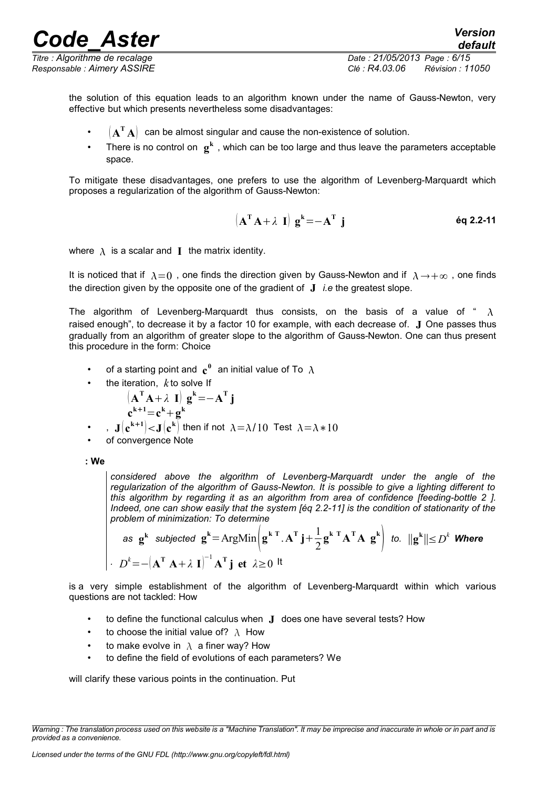*Code\_Aster Version Titre : Algorithme de recalage Date : 21/05/2013 Page : 6/15*

*Responsable : Aimery ASSIRE Clé : R4.03.06 Révision : 11050*

*default*

the solution of this equation leads to an algorithm known under the name of Gauss-Newton, very effective but which presents nevertheless some disadvantages:

- $\cdot$   $\cdot$   $\left(\mathbf{A}^{\mathsf{T}}\mathbf{A}\right)$  can be almost singular and cause the non-existence of solution.
- There is no control on  $\mathbf{g}^k$ , which can be too large and thus leave the parameters acceptable space.

To mitigate these disadvantages, one prefers to use the algorithm of Levenberg-Marquardt which proposes a regularization of the algorithm of Gauss-Newton:

$$
\left(\mathbf{A}^{\mathrm{T}}\mathbf{A}+\lambda\mathbf{I}\right)\mathbf{g}^{\mathrm{k}}=-\mathbf{A}^{\mathrm{T}}\mathbf{j}
$$
éq 2.2-11

where  $\lambda$  is a scalar and **I** the matrix identity.

It is noticed that if  $\lambda=0$ , one finds the direction given by Gauss-Newton and if  $\lambda \to +\infty$ , one finds the direction given by the opposite one of the gradient of **J** *i.e* the greatest slope.

The algorithm of Levenberg-Marquardt thus consists, on the basis of a value of "  $\lambda$ raised enough", to decrease it by a factor 10 for example, with each decrease of. **J** One passes thus gradually from an algorithm of greater slope to the algorithm of Gauss-Newton. One can thus present this procedure in the form: Choice

- of a starting point and  $\mathbf{c}^0$  an initial value of To  $\,\lambda$
- the iteration,  $k$  to solve If

$$
(\mathbf{A}^{\mathbf{T}}\mathbf{A} + \lambda \mathbf{I}) \mathbf{g}^k = -\mathbf{A}^{\mathbf{T}} \mathbf{j}
$$
  

$$
\mathbf{c}^{k+1} = \mathbf{c}^k + \mathbf{g}^k
$$

- $\cdot$  ,  $\mathbf{J}(\mathbf{c}^{\mathbf{k+1}})$  $<$   $\mathbf{J}(\mathbf{c}^{\mathbf{k}})$  then if not  $\lambda$   $=$   $\lambda$  /  $10$  Test  $\lambda$   $=$   $\lambda$   $*$   $10$
- of convergence Note

**: We** 

*considered above the algorithm of Levenberg-Marquardt under the angle of the regularization of the algorithm of Gauss-Newton. It is possible to give a lighting different to this algorithm by regarding it as an algorithm from area of confidence [feeding-bottle 2 ]. Indeed, one can show easily that the system [éq 2.2-11] is the condition of stationarity of the problem of minimization: To determine*

as 
$$
\mathbf{g}^k
$$
 subjected  $\mathbf{g}^k = \text{ArgMin}\left(\mathbf{g}^{k \top} \cdot \mathbf{A}^T \mathbf{j} + \frac{1}{2} \mathbf{g}^{k \top} \mathbf{A}^T \mathbf{A} \mathbf{g}^k\right)$  to.  $||\mathbf{g}^k|| \le D^k$  Where  

$$
D^k = -(\mathbf{A}^T \mathbf{A} + \lambda \mathbf{I})^{-1} \mathbf{A}^T \mathbf{j} \text{ et } \lambda \ge 0
$$

is a very simple establishment of the algorithm of Levenberg-Marquardt within which various questions are not tackled: How

- to define the functional calculus when **J** does one have several tests? How
- to choose the initial value of?  $\lambda$  How
- to make evolve in  $\lambda$  a finer way? How
- to define the field of evolutions of each parameters? We

will clarify these various points in the continuation. Put

*Warning : The translation process used on this website is a "Machine Translation". It may be imprecise and inaccurate in whole or in part and is provided as a convenience.*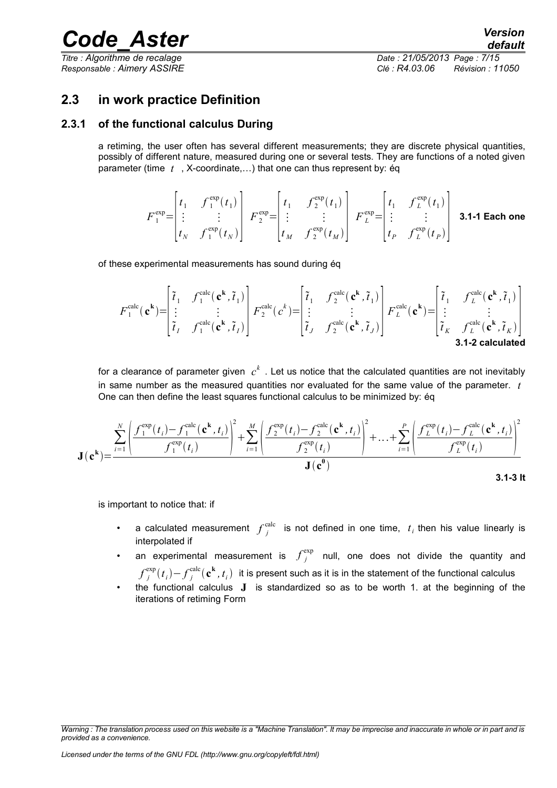*Titre : Algorithme de recalage Date : 21/05/2013 Page : 7/15*

*Responsable : Aimery ASSIRE Clé : R4.03.06 Révision : 11050*

### **2.3 in work practice Definition**

#### **2.3.1 of the functional calculus During**

a retiming, the user often has several different measurements; they are discrete physical quantities, possibly of different nature, measured during one or several tests. They are functions of a noted given parameter (time *t* , X-coordinate,…) that one can thus represent by: éq

$$
F_1^{\exp} = \begin{bmatrix} t_1 & f_1^{\exp}(t_1) \\ \vdots & \vdots \\ t_N & f_1^{\exp}(t_N) \end{bmatrix} F_2^{\exp} = \begin{bmatrix} t_1 & f_2^{\exp}(t_1) \\ \vdots & \vdots \\ t_M & f_2^{\exp}(t_M) \end{bmatrix} F_L^{\exp} = \begin{bmatrix} t_1 & f_L^{\exp}(t_1) \\ \vdots & \vdots \\ t_P & f_L^{\exp}(t_P) \end{bmatrix}
$$
 **3.1-1 Each one**

of these experimental measurements has sound during éq

$$
F_1^{\text{calc}}(\mathbf{c}^{\mathbf{k}}) = \begin{bmatrix} \tilde{t}_1 & f_1^{\text{calc}}(\mathbf{c}^{\mathbf{k}}, \tilde{t}_1) \\ \vdots & \vdots \\ \tilde{t}_I & f_1^{\text{calc}}(\mathbf{c}^{\mathbf{k}}, \tilde{t}_I) \end{bmatrix} F_2^{\text{calc}}(c^{\mathbf{k}}) = \begin{bmatrix} \tilde{t}_1 & f_2^{\text{calc}}(\mathbf{c}^{\mathbf{k}}, \tilde{t}_1) \\ \vdots & \vdots \\ \tilde{t}_J & f_2^{\text{calc}}(\mathbf{c}^{\mathbf{k}}, \tilde{t}_J) \end{bmatrix} F_L^{\text{calc}}(\mathbf{c}^{\mathbf{k}}) = \begin{bmatrix} \tilde{t}_1 & f_L^{\text{calc}}(\mathbf{c}^{\mathbf{k}}, \tilde{t}_1) \\ \vdots & \vdots \\ \tilde{t}_K & f_L^{\text{calc}}(\mathbf{c}^{\mathbf{k}}, \tilde{t}_K) \end{bmatrix}
$$
  
3.1-2 calculated

for a clearance of parameter given  $c^k$  . Let us notice that the calculated quantities are not inevitably in same number as the measured quantities nor evaluated for the same value of the parameter. *t* One can then define the least squares functional calculus to be minimized by: éq

$$
\mathbf{J}(\mathbf{c}^{\mathbf{k}}) = \frac{\sum_{i=1}^{N} \left( \frac{f_1^{\text{exp}}(t_i) - f_1^{\text{calc}}(\mathbf{c}^{\mathbf{k}}, t_i)}{f_1^{\text{exp}}(t_i)} \right)^2 + \sum_{i=1}^{M} \left( \frac{f_2^{\text{exp}}(t_i) - f_2^{\text{calc}}(\mathbf{c}^{\mathbf{k}}, t_i)}{f_2^{\text{exp}}(t_i)} \right)^2 + \dots + \sum_{i=1}^{P} \left( \frac{f_L^{\text{exp}}(t_i) - f_L^{\text{calc}}(\mathbf{c}^{\mathbf{k}}, t_i)}{f_L^{\text{exp}}(t_i)} \right)^2}{\mathbf{J}(\mathbf{c}^0)}
$$
\n3.1-3 l

is important to notice that: if

- a calculated measurement  $f_j^{\text{calc}}$  is not defined in one time,  $t_i$  then his value linearly is interpolated if
- an experimental measurement is  $f_j^{\text{exp}}$  null, one does not divide the quantity and
- $f^{\exp}_j(t_i)$   $f^{\text{calc}}_j(\mathbf{c^k},t_i)$  it is present such as it is in the statement of the functional calculus
- the functional calculus **J** is standardized so as to be worth 1. at the beginning of the iterations of retiming Form

*Warning : The translation process used on this website is a "Machine Translation". It may be imprecise and inaccurate in whole or in part and is provided as a convenience.*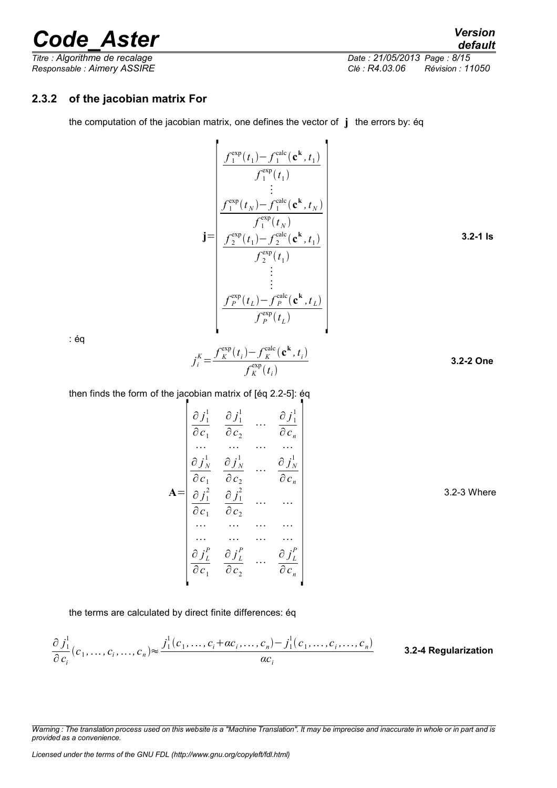*Titre : Algorithme de recalage Date : 21/05/2013 Page : 8/15 Responsable : Aimery ASSIRE Clé : R4.03.06 Révision : 11050*

### **2.3.2 of the jacobian matrix For**

the computation of the jacobian matrix, one defines the vector of **j** the errors by: éq

$$
\mathbf{j} = \begin{bmatrix}\n\frac{f_1^{\text{exp}}(t_1) - f_1^{\text{calc}}(\mathbf{c}^{\mathbf{k}}, t_1)}{f_1^{\text{exp}}(t_1)} \\
\frac{f_1^{\text{exp}}(t_N) - f_1^{\text{calc}}(\mathbf{c}^{\mathbf{k}}, t_N)}{f_1^{\text{exp}}(t_N)} \\
\frac{f_2^{\text{exp}}(t_1) - f_2^{\text{calc}}(\mathbf{c}^{\mathbf{k}}, t_1)}{f_2^{\text{exp}}(t_1)} \\
\vdots \\
\frac{f_1^{\text{exp}}(t_1)}{f_1^{\text{exp}}(t_1)}\n\end{bmatrix}
$$
\n3.2-1 is

: éq

$$
j_i^K = \frac{f_K^{\text{exp}}(t_i) - f_K^{\text{calc}}(\mathbf{c}^k, t_i)}{f_K^{\text{exp}}(t_i)}
$$
 3.2-2 One

then finds the form of the jacobian matrix of [éq 2.2-5]: éq

$$
\mathbf{A} = \begin{bmatrix} \frac{\partial j_1^1}{\partial c_1} & \frac{\partial j_1^1}{\partial c_2} & \cdots & \frac{\partial j_1^1}{\partial c_n} \\ \vdots & \vdots & \ddots & \vdots \\ \frac{\partial j_N^1}{\partial c_1} & \frac{\partial j_N^1}{\partial c_2} & \cdots & \frac{\partial j_N^1}{\partial c_n} \\ \frac{\partial j_1^2}{\partial c_1} & \frac{\partial j_1^2}{\partial c_2} & \cdots & \cdots \\ \vdots & \vdots & \vdots & \ddots & \vdots \\ \frac{\partial j_L^P}{\partial c_1} & \frac{\partial j_L^P}{\partial c_2} & \cdots & \frac{\partial j_L^P}{\partial c_n} \\ \end{bmatrix}
$$
 3.2-3 Where

the terms are calculated by direct finite differences: éq

$$
\frac{\partial j_1^1}{\partial c_i}(c_1,\ldots,c_i,\ldots,c_n) \approx \frac{j_1^1(c_1,\ldots,c_i + \alpha c_i,\ldots,c_n) - j_1^1(c_1,\ldots,c_i,\ldots,c_n)}{\alpha c_i}
$$
 3.2-4 Regularization

*Warning : The translation process used on this website is a "Machine Translation". It may be imprecise and inaccurate in whole or in part and is provided as a convenience.*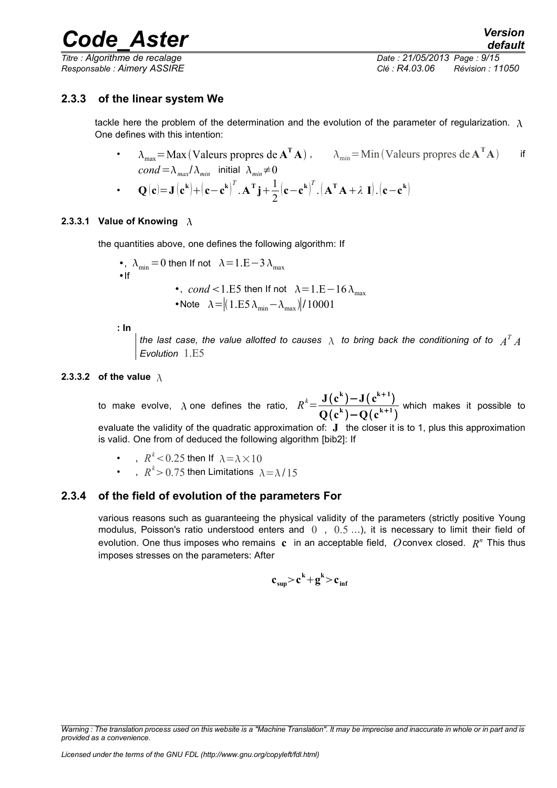*Titre : Algorithme de recalage Date : 21/05/2013 Page : 9/15*

*Responsable : Aimery ASSIRE Clé : R4.03.06 Révision : 11050*

#### **2.3.3 of the linear system We**

tackle here the problem of the determination and the evolution of the parameter of regularization.  $\lambda$ One defines with this intention:

- $\lambda_{\text{max}} = \text{Max}(\text{Values properties } \mathbf{deA}^{\mathsf{T}} \mathbf{A})$ ,  $\lambda_{\text{min}} = \text{Min}(\text{Values properties } \mathbf{deA}^{\mathsf{T}} \mathbf{A})$  if  $cond = \lambda_{max}/\lambda_{min}$  initial  $\lambda_{min} \neq 0$
- **Q**  $(c) = J(c^k) + (c c^k)$  $T \cdot \mathbf{A}^{\mathrm{T}} \mathbf{j} + \frac{1}{2}$ 2  $(c - c^k)^T$  $\int_{-1}^{T}$   $\cdot$   $\left( \mathbf{A}^{\mathsf{T}} \mathbf{A} + \lambda \mathbf{I} \right) \cdot \left( \mathbf{c} - \mathbf{c}^{\mathsf{k}} \right)$

#### **2.3.3.1 Value of Knowing**  $\lambda$

the quantities above, one defines the following algorithm: If

\n- , 
$$
\lambda_{\min} = 0
$$
 then If not  $\lambda = 1.E - 3 \lambda_{\max}$
\n- If\n
	\n- , *cond* < 1.E5 then If not  $\lambda = 1.E - 16 \lambda_{\max}$
	\n\n
\n- Note  $\lambda = |(1.E5 \lambda_{\min} - \lambda_{\max})|/10001$
\n

**: In**

the last case, the value allotted to causes  $\,\lambda\,$  to bring back the conditioning of to  $\,\,A^{T}\,A$ *Evolution* 1.E5

#### **2.3.3.2 of the value**

to make evolve,  $\lambda$  one defines the ratio,  $R^k = \frac{J(c^k) - J(c^{k+1})}{2(c^k) - 2(c^{k+1})}$  $Q(c^k) - Q(c^{k+1})$ which makes it possible to evaluate the validity of the quadratic approximation of: **J** the closer it is to 1, plus this approximation is valid. One from of deduced the following algorithm [bib2]: If

- ,  $R^k$  < 0.25 then If  $\lambda$  =  $\lambda$   $\times$  10
- ,  $R^k$ > 0.75 then Limitations  $\lambda$  =  $\lambda$  / 15

#### **2.3.4 of the field of evolution of the parameters For**

various reasons such as guaranteeing the physical validity of the parameters (strictly positive Young modulus, Poisson's ratio understood enters and  $(0, 0.5 \ldots)$ , it is necessary to limit their field of evolution. One thus imposes who remains **c** in an acceptable field, *O*convex closed. *R <sup>n</sup>* This thus imposes stresses on the parameters: After

$$
c_{\sup} > c^k + g^k > c_{\inf}
$$

*Warning : The translation process used on this website is a "Machine Translation". It may be imprecise and inaccurate in whole or in part and is provided as a convenience.*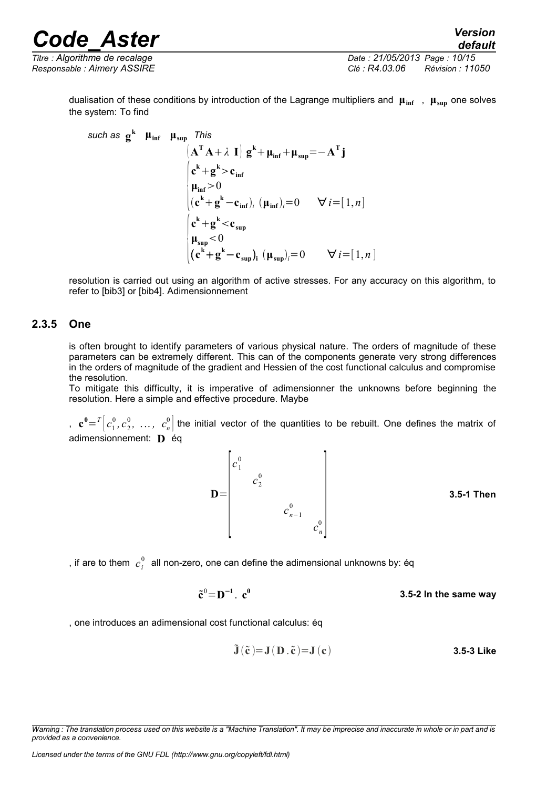*Titre : Algorithme de recalage Date : 21/05/2013 Page : 10/15 Responsable : Aimery ASSIRE Clé : R4.03.06 Révision : 11050*

dualisation of these conditions by introduction of the Lagrange multipliers and **μinf** , **μsup** one solves the system: To find

 $\mathbf{s}$ *uch* as  $\mathbf{g}^{\mathbf{k}}$  **μ**<sub>inf</sub> **μ**<sub>sup</sub> *This*  $(\mathbf{A}^T \mathbf{A} + \lambda \mathbf{I}) \mathbf{g}^k + \mathbf{\mu}_{\text{inf}} + \mathbf{\mu}_{\text{sup}} = -\mathbf{A}^T \mathbf{j}$  $\int_{\alpha}^{\infty}$  $c^k$ **+g**<sup>k</sup>**>c**<sub>inf</sub>  $\mu_{\text{inf}} > 0$  $(c^{k} + g^{k} - c_{inf})_{i}$   $(\mu_{inf})_{i} = 0$   $\forall i = [1, n]$  $\int_{0}^{3u}$  $c^k$ **+g**<sup>k</sup> <  $c_{\sup}$  $\mu_{\sup}$  < 0  $(\mathbf{c}^{\mathbf{k}} + \mathbf{g}^{\mathbf{k}} - \mathbf{c}_{\text{sup}})_{i}$   $(\mathbf{\mu}_{\text{sup}})_{i} = 0$   $\forall i = [1, n]$ 

resolution is carried out using an algorithm of active stresses. For any accuracy on this algorithm, to refer to [bib3] or [bib4]. Adimensionnement

#### **2.3.5 One**

is often brought to identify parameters of various physical nature. The orders of magnitude of these parameters can be extremely different. This can of the components generate very strong differences in the orders of magnitude of the gradient and Hessien of the cost functional calculus and compromise the resolution.

To mitigate this difficulty, it is imperative of adimensionner the unknowns before beginning the resolution. Here a simple and effective procedure. Maybe

,  $\mathbf{c}^0 = T\left[c_1^0, c_2^0, \ldots, c_n^0\right]$  the initial vector of the quantities to be rebuilt. One defines the matrix of adimensionnement: **D** éq



, if are to them  $\vert c_i^0 \vert$  all non-zero, one can define the adimensional unknowns by: éq

 $\tilde{\mathbf{c}}^0 = \mathbf{D}^{-1}$ .  $\mathbf{c}^0$ **3.5-2 In the same way**

, one introduces an adimensional cost functional calculus: éq

$$
\tilde{\mathbf{J}}\left(\tilde{\mathbf{c}}\right) = \mathbf{J}\left(\mathbf{D}\right.\tilde{\mathbf{c}}\left) = \mathbf{J}\left(\mathbf{c}\right)
$$
 3.5-3 Like

*Warning : The translation process used on this website is a "Machine Translation". It may be imprecise and inaccurate in whole or in part and is provided as a convenience.*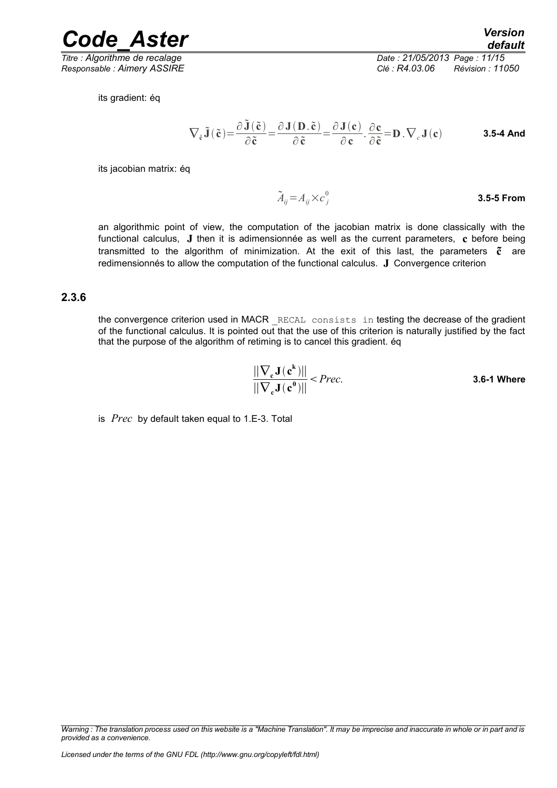*Titre : Algorithme de recalage Date : 21/05/2013 Page : 11/15 Responsable : Aimery ASSIRE Clé : R4.03.06 Révision : 11050*

*Code\_Aster Version default*

its gradient: éq

$$
\nabla_{\tilde{\mathbf{c}}}\tilde{\mathbf{J}}\left(\tilde{\mathbf{c}}\right) = \frac{\partial \tilde{\mathbf{J}}\left(\tilde{\mathbf{c}}\right)}{\partial \tilde{\mathbf{c}}} = \frac{\partial \mathbf{J}\left(\mathbf{D}.\tilde{\mathbf{c}}\right)}{\partial \tilde{\mathbf{c}}} = \frac{\partial \mathbf{J}\left(\mathbf{c}\right)}{\partial \mathbf{c}} \cdot \frac{\partial \mathbf{c}}{\partial \tilde{\mathbf{c}}} = \mathbf{D} \cdot \nabla_{c} \mathbf{J}\left(\mathbf{c}\right)
$$
 3.5-4 And

its jacobian matrix: éq

 $\tilde{A}_{ij} = A_{ij} \times c^0_j$ **3.5-5 From**

an algorithmic point of view, the computation of the jacobian matrix is done classically with the functional calculus, **J** then it is adimensionnée as well as the current parameters, **c** before being transmitted to the algorithm of minimization. At the exit of this last, the parameters **c** are redimensionnés to allow the computation of the functional calculus. **J** Convergence criterion

#### **2.3.6**

the convergence criterion used in MACR RECAL consists in testing the decrease of the gradient of the functional calculus. It is pointed out that the use of this criterion is naturally justified by the fact that the purpose of the algorithm of retiming is to cancel this gradient. éq

$$
\frac{\left|\left|\nabla_{\mathbf{c}}\mathbf{J}\left(\mathbf{c}^{\mathbf{k}}\right)\right|\right|}{\left|\left|\nabla_{\mathbf{c}}\mathbf{J}\left(\mathbf{c}^{\mathbf{0}}\right)\right|\right|} < Prec.
$$
 3.6-1 Where

is *Prec* by default taken equal to 1.E-3. Total

*Warning : The translation process used on this website is a "Machine Translation". It may be imprecise and inaccurate in whole or in part and is provided as a convenience.*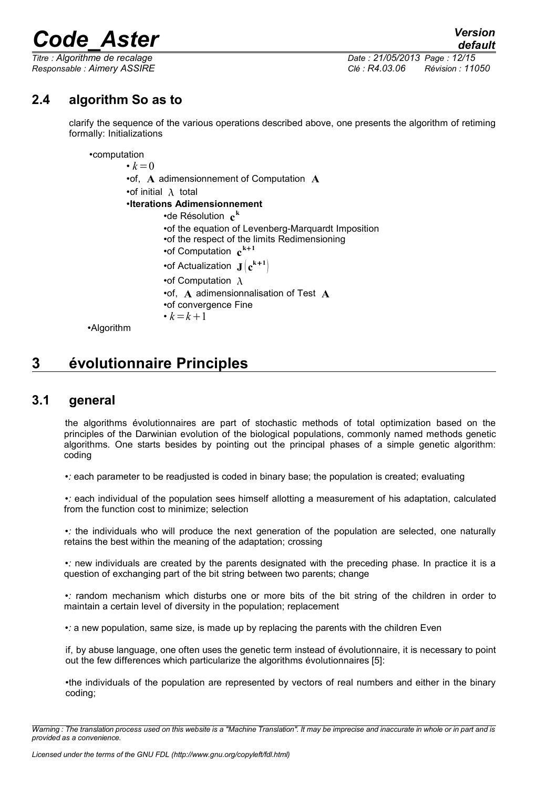*Titre : Algorithme de recalage Date : 21/05/2013 Page : 12/15 Responsable : Aimery ASSIRE Clé : R4.03.06 Révision : 11050*

## **2.4 algorithm So as to**

clarify the sequence of the various operations described above, one presents the algorithm of retiming formally: Initializations

•computation

 $\cdot k=0$ •of, **A** adimensionnement of Computation **A** •of initial  $\lambda$  total •**Iterations Adimensionnement** •de Résolution **c k** •of the equation of Levenberg-Marquardt Imposition •of the respect of the limits Redimensioning •of Computation **c k1** •of Actualization  $J(c^{k+1})$ •of Computation  $\lambda$ •of, **A** adimensionnalisation of Test **A** •of convergence Fine •  $k = k + 1$ 

•Algorithm

## **3 évolutionnaire Principles**

### **3.1 general**

the algorithms évolutionnaires are part of stochastic methods of total optimization based on the principles of the Darwinian evolution of the biological populations, commonly named methods genetic algorithms. One starts besides by pointing out the principal phases of a simple genetic algorithm: coding

•*:* each parameter to be readjusted is coded in binary base; the population is created; evaluating

•*:* each individual of the population sees himself allotting a measurement of his adaptation, calculated from the function cost to minimize; selection

•*:* the individuals who will produce the next generation of the population are selected, one naturally retains the best within the meaning of the adaptation; crossing

•*:* new individuals are created by the parents designated with the preceding phase. In practice it is a question of exchanging part of the bit string between two parents; change

•*:* random mechanism which disturbs one or more bits of the bit string of the children in order to maintain a certain level of diversity in the population; replacement

•*:* a new population, same size, is made up by replacing the parents with the children Even

if, by abuse language, one often uses the genetic term instead of évolutionnaire, it is necessary to point out the few differences which particularize the algorithms évolutionnaires [5]:

•the individuals of the population are represented by vectors of real numbers and either in the binary coding;

*Warning : The translation process used on this website is a "Machine Translation". It may be imprecise and inaccurate in whole or in part and is provided as a convenience.*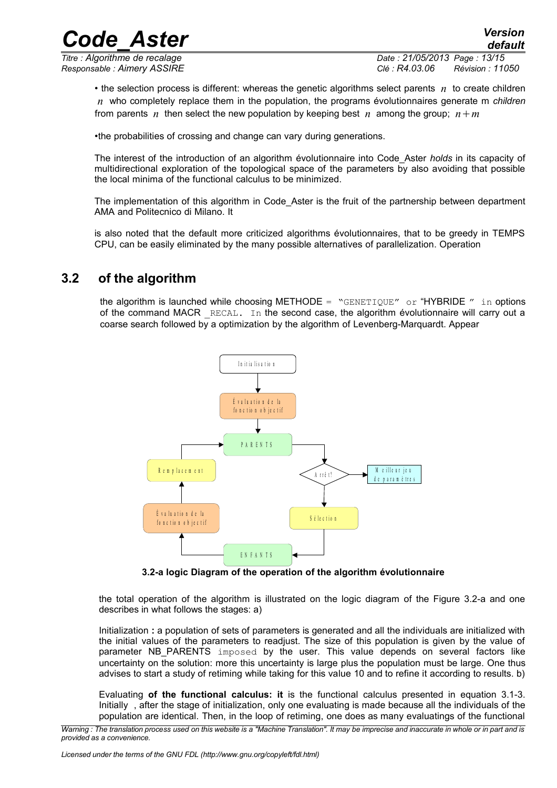*Titre : Algorithme de recalage Date : 21/05/2013 Page : 13/15 Responsable : Aimery ASSIRE Clé : R4.03.06 Révision : 11050*

• the selection process is different: whereas the genetic algorithms select parents *n* to create children *n* who completely replace them in the population, the programs évolutionnaires generate m *children* from parents *n* then select the new population by keeping best *n* among the group;  $n+m$ 

•the probabilities of crossing and change can vary during generations.

The interest of the introduction of an algorithm évolutionnaire into Code\_Aster *holds* in its capacity of multidirectional exploration of the topological space of the parameters by also avoiding that possible the local minima of the functional calculus to be minimized.

The implementation of this algorithm in Code Aster is the fruit of the partnership between department AMA and Politecnico di Milano. It

is also noted that the default more criticized algorithms évolutionnaires, that to be greedy in TEMPS CPU, can be easily eliminated by the many possible alternatives of parallelization. Operation

## **3.2 of the algorithm**

the algorithm is launched while choosing METHODE = "GENETIQUE" or "HYBRIDE" in options of the command MACR  $RECAL$ . In the second case, the algorithm évolutionnaire will carry out a coarse search followed by a optimization by the algorithm of Levenberg-Marquardt. Appear



**3.2-a logic Diagram of the operation of the algorithm évolutionnaire**

the total operation of the algorithm is illustrated on the logic diagram of the Figure 3.2-a and one describes in what follows the stages: a)

Initialization **:** a population of sets of parameters is generated and all the individuals are initialized with the initial values of the parameters to readjust. The size of this population is given by the value of parameter NB PARENTS imposed by the user. This value depends on several factors like uncertainty on the solution: more this uncertainty is large plus the population must be large. One thus advises to start a study of retiming while taking for this value 10 and to refine it according to results. b)

Evaluating **of the functional calculus: it** is the functional calculus presented in equation 3.1-3. Initially , after the stage of initialization, only one evaluating is made because all the individuals of the population are identical. Then, in the loop of retiming, one does as many evaluatings of the functional

*Warning : The translation process used on this website is a "Machine Translation". It may be imprecise and inaccurate in whole or in part and is provided as a convenience.*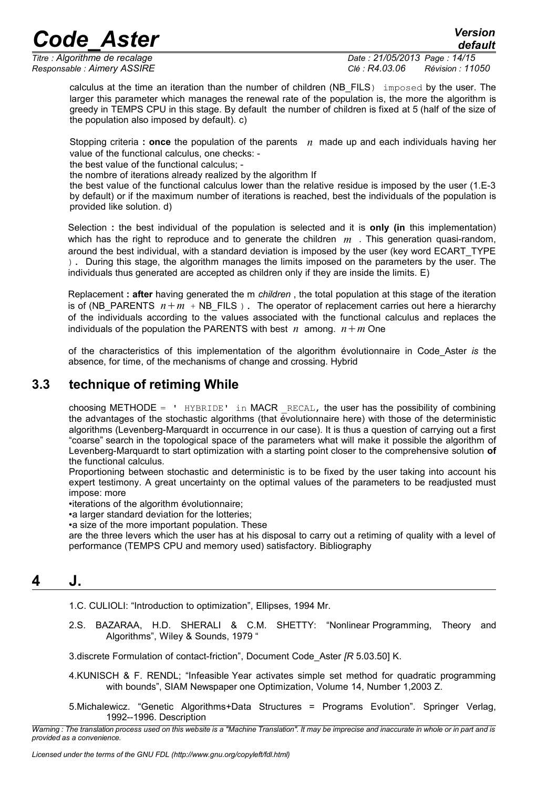*default*

*Titre : Algorithme de recalage Date : 21/05/2013 Page : 14/15 Responsable : Aimery ASSIRE Clé : R4.03.06 Révision : 11050*

calculus at the time an iteration than the number of children (NB\_FILS) imposed by the user. The larger this parameter which manages the renewal rate of the population is, the more the algorithm is greedy in TEMPS CPU in this stage. By default the number of children is fixed at 5 (half of the size of the population also imposed by default). c)

Stopping criteria **: once** the population of the parents *n* made up and each individuals having her value of the functional calculus, one checks: -

the best value of the functional calculus; -

the nombre of iterations already realized by the algorithm If

the best value of the functional calculus lower than the relative residue is imposed by the user (1.E-3 by default) or if the maximum number of iterations is reached, best the individuals of the population is provided like solution. d)

Selection **:** the best individual of the population is selected and it is **only (in** this implementation) which has the right to reproduce and to generate the children *m* . This generation quasi-random, around the best individual, with a standard deviation is imposed by the user (key word ECART\_TYPE ). During this stage, the algorithm manages the limits imposed on the parameters by the user. The individuals thus generated are accepted as children only if they are inside the limits. E)

Replacement **: after** having generated the m *children* , the total population at this stage of the iteration is of (NB\_PARENTS  $n+m + NB$  FILS ). The operator of replacement carries out here a hierarchy of the individuals according to the values associated with the functional calculus and replaces the individuals of the population the PARENTS with best *n* among.  $n+m$  One

of the characteristics of this implementation of the algorithm évolutionnaire in Code\_Aster *is* the absence, for time, of the mechanisms of change and crossing. Hybrid

### **3.3 technique of retiming While**

choosing METHODE =  $'$  HYBRIDE' in MACR RECAL, the user has the possibility of combining the advantages of the stochastic algorithms (that évolutionnaire here) with those of the deterministic algorithms (Levenberg-Marquardt in occurrence in our case). It is thus a question of carrying out a first "coarse" search in the topological space of the parameters what will make it possible the algorithm of Levenberg-Marquardt to start optimization with a starting point closer to the comprehensive solution **of** the functional calculus.

Proportioning between stochastic and deterministic is to be fixed by the user taking into account his expert testimony. A great uncertainty on the optimal values of the parameters to be readjusted must impose: more

•iterations of the algorithm évolutionnaire;

•a larger standard deviation for the lotteries;

•a size of the more important population. These

are the three levers which the user has at his disposal to carry out a retiming of quality with a level of performance (TEMPS CPU and memory used) satisfactory. Bibliography

## **4 J.**

1.C. CULIOLI: "Introduction to optimization", Ellipses, 1994 Mr.

2.S. BAZARAA, H.D. SHERALI & C.M. SHETTY: "Nonlinear Programming, Theory and Algorithms", Wiley & Sounds, 1979 "

3.discrete Formulation of contact-friction", Document Code\_Aster *[R* 5.03.50] K.

- 4.KUNISCH & F. RENDL; "Infeasible Year activates simple set method for quadratic programming with bounds", SIAM Newspaper one Optimization, Volume 14, Number 1,2003 Z.
- 5.Michalewicz. "Genetic Algorithms+Data Structures = Programs Evolution". Springer Verlag, 1992--1996. Description

*Warning : The translation process used on this website is a "Machine Translation". It may be imprecise and inaccurate in whole or in part and is provided as a convenience.*